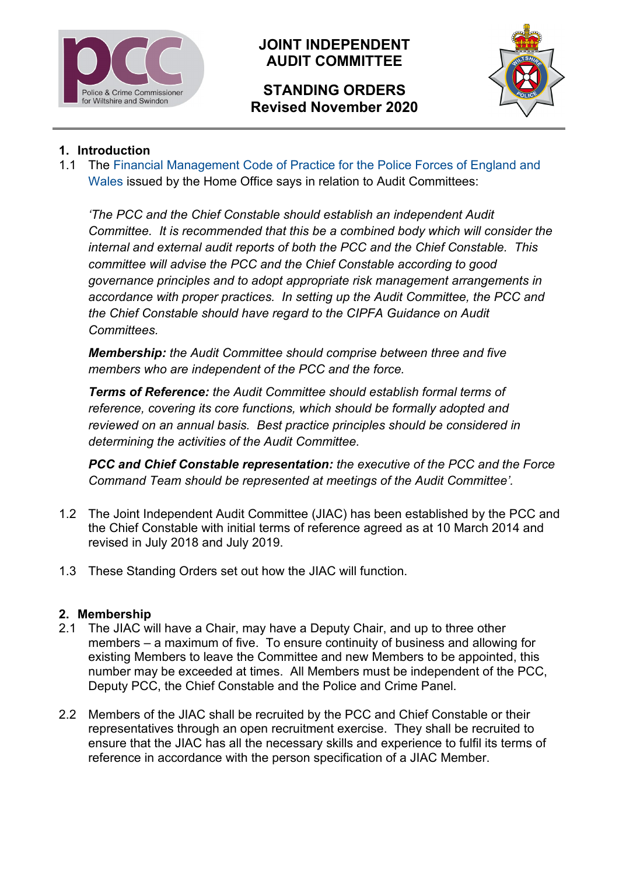

# **JOINT INDEPENDENT AUDIT COMMITTEE**

# **STANDING ORDERS Revised November 2020**



### **1. Introduction**

1.1 The [Financial Management Code of Practice for the Police Forces](https://www.gov.uk/government/uploads/system/uploads/attachment_data/file/252720/fm_code_of_practice.pdf) of England and [Wales](https://www.gov.uk/government/uploads/system/uploads/attachment_data/file/252720/fm_code_of_practice.pdf) issued by the Home Office says in relation to Audit Committees:

*'The PCC and the Chief Constable should establish an independent Audit Committee. It is recommended that this be a combined body which will consider the internal and external audit reports of both the PCC and the Chief Constable. This committee will advise the PCC and the Chief Constable according to good governance principles and to adopt appropriate risk management arrangements in accordance with proper practices. In setting up the Audit Committee, the PCC and the Chief Constable should have regard to the CIPFA Guidance on Audit Committees.*

*Membership: the Audit Committee should comprise between three and five members who are independent of the PCC and the force.*

*Terms of Reference: the Audit Committee should establish formal terms of reference, covering its core functions, which should be formally adopted and reviewed on an annual basis. Best practice principles should be considered in determining the activities of the Audit Committee.*

*PCC and Chief Constable representation: the executive of the PCC and the Force Command Team should be represented at meetings of the Audit Committee'.*

- 1.2 The Joint Independent Audit Committee (JIAC) has been established by the PCC and the Chief Constable with initial terms of reference agreed as at 10 March 2014 and revised in July 2018 and July 2019.
- 1.3 These Standing Orders set out how the JIAC will function.

#### **2. Membership**

- 2.1 The JIAC will have a Chair, may have a Deputy Chair, and up to three other members – a maximum of five. To ensure continuity of business and allowing for existing Members to leave the Committee and new Members to be appointed, this number may be exceeded at times. All Members must be independent of the PCC, Deputy PCC, the Chief Constable and the Police and Crime Panel.
- 2.2 Members of the JIAC shall be recruited by the PCC and Chief Constable or their representatives through an open recruitment exercise. They shall be recruited to ensure that the JIAC has all the necessary skills and experience to fulfil its terms of reference in accordance with the person specification of a JIAC Member.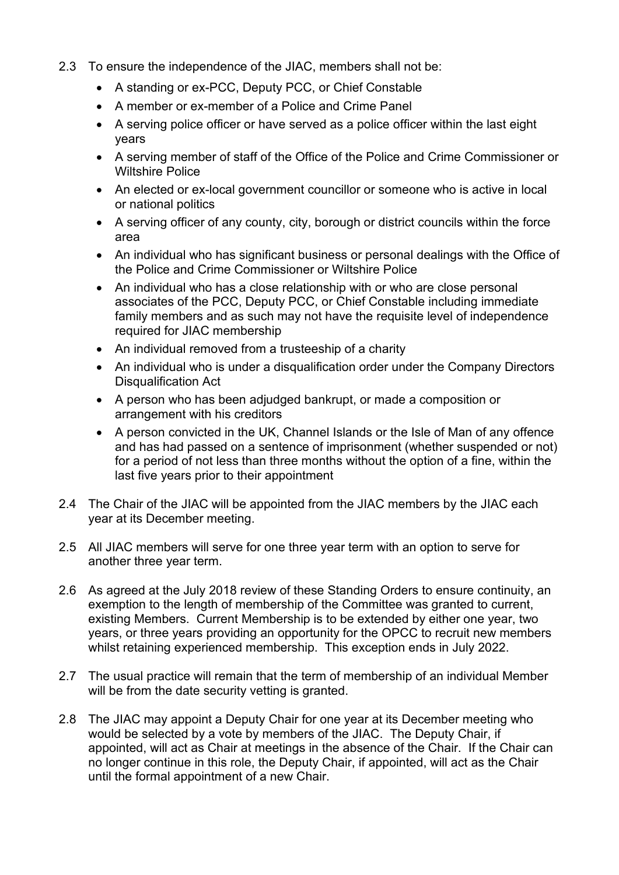- 2.3 To ensure the independence of the JIAC, members shall not be:
	- A standing or ex-PCC, Deputy PCC, or Chief Constable
	- A member or ex-member of a Police and Crime Panel
	- A serving police officer or have served as a police officer within the last eight years
	- A serving member of staff of the Office of the Police and Crime Commissioner or Wiltshire Police
	- An elected or ex-local government councillor or someone who is active in local or national politics
	- A serving officer of any county, city, borough or district councils within the force area
	- An individual who has significant business or personal dealings with the Office of the Police and Crime Commissioner or Wiltshire Police
	- An individual who has a close relationship with or who are close personal associates of the PCC, Deputy PCC, or Chief Constable including immediate family members and as such may not have the requisite level of independence required for JIAC membership
	- An individual removed from a trusteeship of a charity
	- An individual who is under a disqualification order under the Company Directors Disqualification Act
	- A person who has been adjudged bankrupt, or made a composition or arrangement with his creditors
	- A person convicted in the UK, Channel Islands or the Isle of Man of any offence and has had passed on a sentence of imprisonment (whether suspended or not) for a period of not less than three months without the option of a fine, within the last five years prior to their appointment
- 2.4 The Chair of the JIAC will be appointed from the JIAC members by the JIAC each year at its December meeting.
- 2.5 All JIAC members will serve for one three year term with an option to serve for another three year term.
- 2.6 As agreed at the July 2018 review of these Standing Orders to ensure continuity, an exemption to the length of membership of the Committee was granted to current, existing Members. Current Membership is to be extended by either one year, two years, or three years providing an opportunity for the OPCC to recruit new members whilst retaining experienced membership. This exception ends in July 2022.
- 2.7 The usual practice will remain that the term of membership of an individual Member will be from the date security vetting is granted.
- 2.8 The JIAC may appoint a Deputy Chair for one year at its December meeting who would be selected by a vote by members of the JIAC. The Deputy Chair, if appointed, will act as Chair at meetings in the absence of the Chair. If the Chair can no longer continue in this role, the Deputy Chair, if appointed, will act as the Chair until the formal appointment of a new Chair.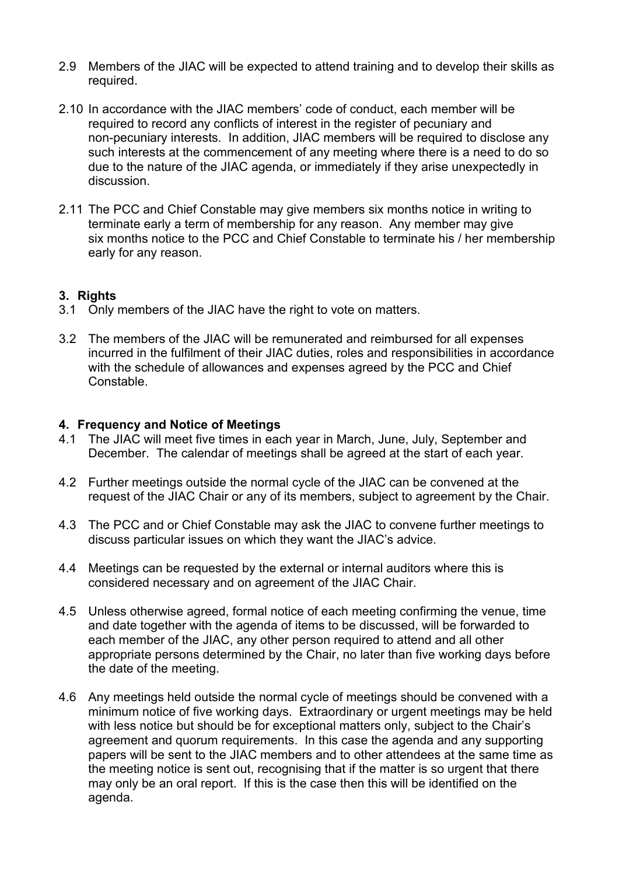- 2.9 Members of the JIAC will be expected to attend training and to develop their skills as required.
- 2.10 In accordance with the JIAC members' code of conduct, each member will be required to record any conflicts of interest in the register of pecuniary and non-pecuniary interests. In addition, JIAC members will be required to disclose any such interests at the commencement of any meeting where there is a need to do so due to the nature of the JIAC agenda, or immediately if they arise unexpectedly in discussion.
- 2.11 The PCC and Chief Constable may give members six months notice in writing to terminate early a term of membership for any reason. Any member may give six months notice to the PCC and Chief Constable to terminate his / her membership early for any reason.

#### **3. Rights**

- 3.1 Only members of the JIAC have the right to vote on matters.
- 3.2 The members of the JIAC will be remunerated and reimbursed for all expenses incurred in the fulfilment of their JIAC duties, roles and responsibilities in accordance with the schedule of allowances and expenses agreed by the PCC and Chief Constable.

#### **4. Frequency and Notice of Meetings**

- 4.1 The JIAC will meet five times in each year in March, June, July, September and December. The calendar of meetings shall be agreed at the start of each year.
- 4.2 Further meetings outside the normal cycle of the JIAC can be convened at the request of the JIAC Chair or any of its members, subject to agreement by the Chair.
- 4.3 The PCC and or Chief Constable may ask the JIAC to convene further meetings to discuss particular issues on which they want the JIAC's advice.
- 4.4 Meetings can be requested by the external or internal auditors where this is considered necessary and on agreement of the JIAC Chair.
- 4.5 Unless otherwise agreed, formal notice of each meeting confirming the venue, time and date together with the agenda of items to be discussed, will be forwarded to each member of the JIAC, any other person required to attend and all other appropriate persons determined by the Chair, no later than five working days before the date of the meeting.
- 4.6 Any meetings held outside the normal cycle of meetings should be convened with a minimum notice of five working days. Extraordinary or urgent meetings may be held with less notice but should be for exceptional matters only, subject to the Chair's agreement and quorum requirements. In this case the agenda and any supporting papers will be sent to the JIAC members and to other attendees at the same time as the meeting notice is sent out, recognising that if the matter is so urgent that there may only be an oral report. If this is the case then this will be identified on the agenda.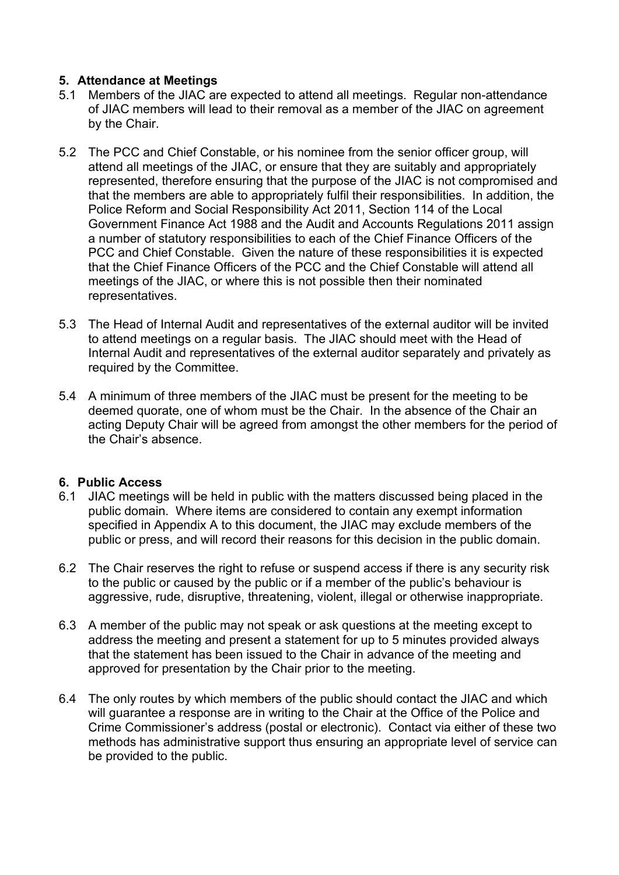#### **5. Attendance at Meetings**

- 5.1 Members of the JIAC are expected to attend all meetings. Regular non-attendance of JIAC members will lead to their removal as a member of the JIAC on agreement by the Chair.
- 5.2 The PCC and Chief Constable, or his nominee from the senior officer group, will attend all meetings of the JIAC, or ensure that they are suitably and appropriately represented, therefore ensuring that the purpose of the JIAC is not compromised and that the members are able to appropriately fulfil their responsibilities. In addition, the Police Reform and Social Responsibility Act 2011, Section 114 of the Local Government Finance Act 1988 and the Audit and Accounts Regulations 2011 assign a number of statutory responsibilities to each of the Chief Finance Officers of the PCC and Chief Constable. Given the nature of these responsibilities it is expected that the Chief Finance Officers of the PCC and the Chief Constable will attend all meetings of the JIAC, or where this is not possible then their nominated representatives.
- 5.3 The Head of Internal Audit and representatives of the external auditor will be invited to attend meetings on a regular basis. The JIAC should meet with the Head of Internal Audit and representatives of the external auditor separately and privately as required by the Committee.
- 5.4 A minimum of three members of the JIAC must be present for the meeting to be deemed quorate, one of whom must be the Chair. In the absence of the Chair an acting Deputy Chair will be agreed from amongst the other members for the period of the Chair's absence.

#### **6. Public Access**

- 6.1 JIAC meetings will be held in public with the matters discussed being placed in the public domain. Where items are considered to contain any exempt information specified in Appendix A to this document, the JIAC may exclude members of the public or press, and will record their reasons for this decision in the public domain.
- 6.2 The Chair reserves the right to refuse or suspend access if there is any security risk to the public or caused by the public or if a member of the public's behaviour is aggressive, rude, disruptive, threatening, violent, illegal or otherwise inappropriate.
- 6.3 A member of the public may not speak or ask questions at the meeting except to address the meeting and present a statement for up to 5 minutes provided always that the statement has been issued to the Chair in advance of the meeting and approved for presentation by the Chair prior to the meeting.
- 6.4 The only routes by which members of the public should contact the JIAC and which will guarantee a response are in writing to the Chair at the Office of the Police and Crime Commissioner's address (postal or electronic). Contact via either of these two methods has administrative support thus ensuring an appropriate level of service can be provided to the public.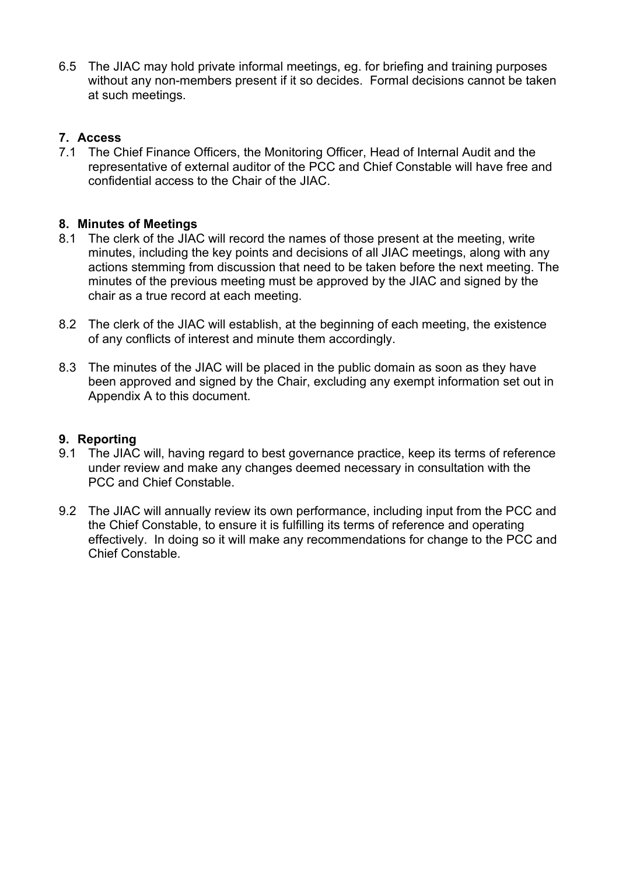6.5 The JIAC may hold private informal meetings, eg. for briefing and training purposes without any non-members present if it so decides. Formal decisions cannot be taken at such meetings.

#### **7. Access**

7.1 The Chief Finance Officers, the Monitoring Officer, Head of Internal Audit and the representative of external auditor of the PCC and Chief Constable will have free and confidential access to the Chair of the JIAC.

### **8. Minutes of Meetings**

- 8.1 The clerk of the JIAC will record the names of those present at the meeting, write minutes, including the key points and decisions of all JIAC meetings, along with any actions stemming from discussion that need to be taken before the next meeting. The minutes of the previous meeting must be approved by the JIAC and signed by the chair as a true record at each meeting.
- 8.2 The clerk of the JIAC will establish, at the beginning of each meeting, the existence of any conflicts of interest and minute them accordingly.
- 8.3 The minutes of the JIAC will be placed in the public domain as soon as they have been approved and signed by the Chair, excluding any exempt information set out in Appendix A to this document.

#### **9. Reporting**

- 9.1 The JIAC will, having regard to best governance practice, keep its terms of reference under review and make any changes deemed necessary in consultation with the PCC and Chief Constable.
- 9.2 The JIAC will annually review its own performance, including input from the PCC and the Chief Constable, to ensure it is fulfilling its terms of reference and operating effectively. In doing so it will make any recommendations for change to the PCC and Chief Constable.